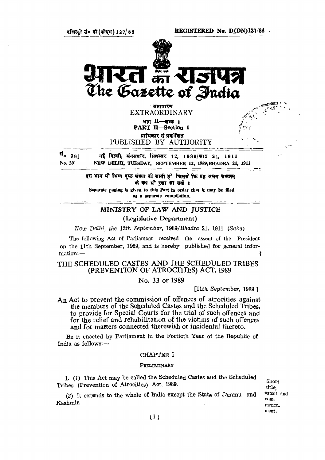**REGISTERED No. D(DN)127/88**

र्रांजस्टी सं० डी (डोएम) 127/88



**्असा**धा**र**ण EXTRAORDINARY  $MT$   $H$   $-T$ 

**PART II—Section 1**

प्राभिकार से प्रकाशित PUBLISHED BY AUTHORITY

र्ष<sub>० 39</sub>] नई विल्ली, संगलवार, सितम्बर 12, 1989/भाव 21, 1911 **No. 39] NEW DELHI, TUESDAY, SEPTEMBER 12, 1989/BHADRA 21, 1911**

> इस भाग में भिग्न पृष्ठ संख्या दी जाती है जिससे कि यह अलग संबहनम के कप में रखा बासके।

**Separate paging is given to this Part in order that it may be filed as a separate compilation.**

# MINISTRY OF LAW AND JUSTICE

(Legislative Department)

*New Delhi, the 12th September, 1989/Bhadra* 21, 1911 *(Saka)*

The following Act of Parliament received the assent of the President on the 11th September, 1989, and is hereby published for general information: —

THE SCHEDULED CASTES AND THE SCHEDULED TRIBES (PREVENTION OF ATROCITIES) ACT, 1989

No. 33 OF 1989

[11th *September,* 1989.]

An Act to prevent the commission of offences of atrocities against the members of the Scheduled Castes and the Scheduled Tribes, to provide for Special Courts for the trial of such offences and for the relief and rehabilitation of the victims of such offences and for matters connected therewith or incidental thereto.

BE it enacted by Parliament in the Fortieth Year of the Republic of India as follows: —

## CHAPTER I

## PRELIMINARY

1. (1) This Act may be called the Scheduled Castes and the Scheduled Tribes (Prevention of Atrocities) Act, 1989.

(2) It extends to the whole of India except the State of Jammu and Kashmir.

**Short title, extent and commencement.**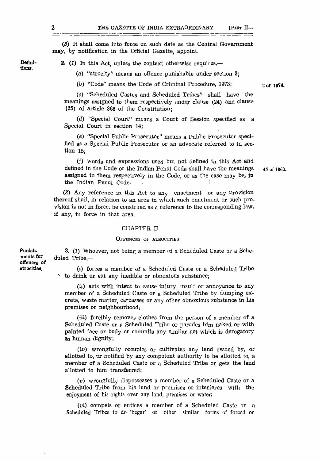(3) It shall come into force on such date as the Central Government may, by notification in the Official Gazette, appoint.

**Definitions.**

Punish-

**atrocities.**

2. *(1)* In this Act, unless the context otherwise requires,—

(a) "atrocity" means an offence punishable under section 3;

(b) "Code" means the Code of Criminal Procedure, 1973;

(c) "Scheduled Castes and Scheduled Tribes" shall have the meanings assigned to them respectively under clause (24) and clause (25) of article 366 of the Constitution;

(d) "Special Court" means a Court of Session specified as a Special Court in section 14;

(e) "Special Public Prosecutor" means a Public Prosecutor specified as a Special Public Prosecutor or an advocate referred to in section 15;

*if)* Words and expressions used but not defined in this Act and defined in the Code or the Indian Penal Code shall have the meanings assigned to them respectively in the Code, or as the case may be, in the Indian Penal Code.

**45 of 1860.**

**2 of 1974-**

*(2)* Any reference in this Act to any enactment or any provision thereof shall, in relation to an area in which such enactment or such provision is not in force, be construed as a reference to the corresponding law, if any, in force in that area.

### CHAPTER II

# OFFENCES OF ATROCITIES

**ments lor offences of** 3. *(1)* Whoever, not being a member of a Scheduled Caste or a Scheduled Tribe,—

> (i) forces a member of a Scheduled Caste or a Scheduled Tribe "• to drink or eat any inedible or obnoxious substance;

(ii) acts with intent to cause injury, insult or annoyance to any member of a Scheduled Caste or a Scheduled Tribe by dumping excreta, waste matter, carcasses or any other obnoxious substance in his premises or neighbourhood;

(iii) forcibly removes clothes from the person of a member of a Scheduled Caste or a Scheduled Tribe or parades him naked or with painted face or body or commits any similar act which is derogatory to human dignity;

(iv) wrongfully occupies or cultivates any land owned by, or allotted to, or notified by any competent authority to be allotted to, a member of a Scheduled Caste or a Scheduled Tribe or gets the land allotted to him transferred;

*(v)* wrongfully dispossesses a member of a Scheduled Caste or a Scheduled Tribe from his land or premises or interferes with the enjoyment of his rights over any land, premises or water;

*(vi)* compels or entices a member of a Scheduled Caste or a Scheduled Tribes to do 'begar' or other similar forms of forced or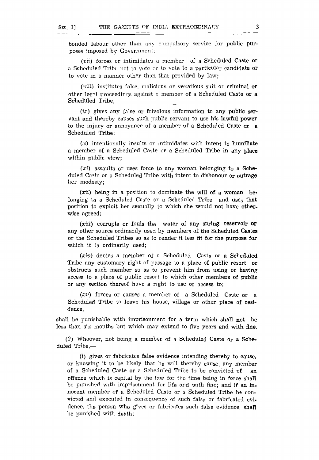bonded labour other than any compulsory service for public purposes imposed by Government;

*(vii)* forces or intimidates a member of a Scheduled Caste or a Scheduled Tribe not to vote or to vote to a particular candidate or to vote in a manner other than that provided by law;

*(viii)* institutes false, malicious or vexatious suit or criminal or other legal proceedings against a member of a Scheduled Caste or a Scheduled Tribe;

*(ix)* gives any false or frivolous information to any public servant and thereby causes such public servant to use his lawful power to the injury or annoyance of a member of a Scheduled Caste or a Scheduled Tribe;

*(x)* intentionally insults or intimidates with intent to humiliate a member of a Scheduled Caste or a Scheduled Tribe in any place within public view;

*(xi)* assaults or uses force to any woman belonging to a Scheduled Caste or a Scheduled Tribe with intent to dishonour or outrage her modesty;

*(xii)* being in a position to dominate the will of a woman belonging t<sub>o</sub> a Scheduled Caste or a Scheduled Tribe and use<sub>S</sub> that position to exploit her sexually to which she would not have otherwise agreed;

*(xiii)* corrupts or fouls the water of any spring, reservoir or any other source ordinarily used by members of the Scheduled Castes or the Scheduled Tribes so as to render it less fit for the purpose for which it is ordinarily used;

*(xiv)* denies a member of a Scheduled Caste or a Scheduled Tribe any customary right of passage to a place of public resort or obstructs such member so as to prevent him from using or having access to a place of public resort to which other members of public or any section thereof have a right to use or access to;

*(xv)* forces or causes a member of a Scheduled Caste or a Scheduled Tribe to leave his house, village or other place of residence,

shall be punishable with imprisonment for a term which shall not be less than six months but which may extend to five years and with fine.

(2) Whoever, not being a member of a Scheduled Caste or a Scheduled Tribe,-

(i) gives or fabricates false evidence intending thereby to cause, or knowing it to be likely that he will thereby cause, any member of a Scheduled Caste or a Scheduled Tribe to be convicted of an offence which is capital by the law for the time being in force shall be pumshed with imprisonment for life and with fine; and if an innocent member of a Scheduled Caste or a Scheduled Tribe be convicted and executed in consequence of such false or fabricated evidence, the person who gives or fabricates such false evidence, shall be punished with death;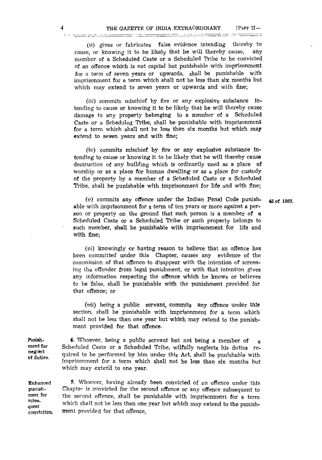*(ii)* gives or fabricates false evidence intending thereby to cause, or knowing it to be likely that he will thereby cause, any member of a Scheduled Caste or a Scheduled Tribe to be convicted of an offence which is not capital but punishable with imprisonment for a term of seven years or upwards, shall be punishable with imprisonment for a term which shall not be less than six months but which may extend to seven years or upwards and with fine;

. <del>An Aonaic An Aonaic an Coll</del>ege and the College of the College of the College of the College of the College of the College of the College of the College of the College of the College of the College of the College of the

*(in)* commits mischief by fire or any explosive substance intending to cause or knowing it to be likely that he will thereby cause damage to any property belonging to a member of a Scheduled Caste or a Scheduled Tribe, shall be punishable with imprisonment for a term which shall not be less than six months but which may extend to seven years and with fine;

*(iv)* commits mischief by fire or any explosive substance intending to cause or knowing it to be likely that he will thereby cause destruction of any building which is ordinarily used as a place of worship or as a place for human dwelling or as a place for custody of the property by a member of a Scheduled Caste or a Scheduled Tribe, shall be punishable with imprisonment for life and with fine;

*(v)* commits any offence under the Indian Penal Code punishable with imprisonment for a term of ten years or more against a person or property on the ground that such person is a member of a Scheduled Caste or a Scheduled Tribe or such property belongs to such member, shall be punishable with imprisonment for life and with fine;

*(vi)* knowingly or having reason to believe that an offence has been committed under this Chapter, causes any evidence of the commission of that offence to disappear with the intention of screening the offender from legal punishment, or with that intention gives any information respecting the offence which he knows or believes to be false, shall be punishable with the punishment provided for that offence; or

*(vii)* being a public servant, commits any offence under this section, shall be punishable with imprisonment for a term which shall not be less than one year but which may extend to the punishment provided for that offence.

4. Whoever, being a public servant but not being a member of a Scheduled Caste or a Scheduled Tribe, wilfully neglects his duties required to be performed by him under this Act, shall be punishable with imprisonment for a term which shall not be less than six months but which may extend to one year.

Enhanced punishment for subsequent conviction.

Punishment for neglect of duties.

> 5. Whoever, having already been convicted of an offence under this Chapter is convicted for the second offence or any offence subsequent to the second offence, shall be punishable with imprisonment for a term which shall not be less than one year but which may extend to the punishment provided for that offence,

45 of 1860.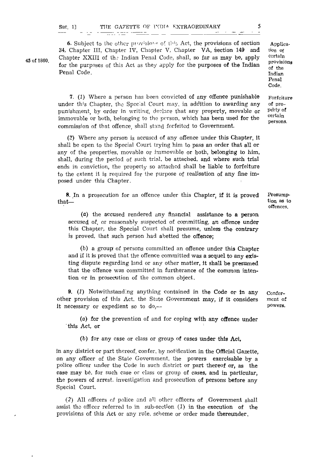|         |  |  |  |                                    |  |  | ____ |  | $\sim$ |
|---------|--|--|--|------------------------------------|--|--|------|--|--------|
| Sec. 1] |  |  |  | THE GAZETTE OF INDIA EXTRAORDINARY |  |  |      |  |        |

6. Subject to the other provisions of this Act, the provisions of section 34, Chapter III, Chapter IV, Chapter V, Chapter VA, section 149 and Chapter XXIII of the Indian Penal Code, shall, so far as may be, apply for the purposes of this Act as they apply for the purposes of the Indian Penal Code.

7. *(1)* Where a person has been convicted of any offence punishable under this Chapter, the Special Court may, in addition to awarding any punishment, by order in writing, declare that any property, movable or immovable or both, belonging to the person, which has been used for the commission of that offence, shall stand forfeited to Government.

*(2)* Where any person is accused of any offence under this Chapter, it shall be open to the Special Court trying him to pass an order that all or any of the properties, movable or immovable or both, belonging to him, shall, during the period of such trial, be attached, and where such trial ends in conviction, the property so attached shall be liable to forfeiture to the extent it is required for the purpose of realisation of any fine imposed under this Chapter.

8. In a prosecution for an offence under this Chapter, if it is proved that—

(a) the accused rendered any financial assistance to a person accused of, or reasonably suspected of committing, an offence under this Chapter, the Special Court shall presume, unless the contrary is proved, that such person had abetted the offence;

 $(b)$  a group of persons committed an offence under this Chapter and if it is proved that the offence committed was a sequel to any existing dispute regarding land or any other matter, it shall be presumed that the offence was committed in furtherance of the common intention or in prosecution of the common object.

9. *(1)* Notwithstanding anything contained in the Code or in any other provision of this Act, the State Government may, if it considers it necessary or expedient so to  $do$ , $-$ 

(a) for the prevention of and for coping with any offence under this Act, or '

(b) for any case or class or group of cases under this Act,

in any district or part thereof, confer, by notification in the Official Gazette, on any officer of the State Government, the powers exercisable by a police officer under the Code in such district or part thereof or, as the case may be, for such case or class or group of cases, and in particular, the powers of arrest, investigation and prosecution of persons before any Special Court.

(2) All officers *nf* police and all other officers of Government shall assist the officer referred to in sub-section *(1)* in the execution of the provisions of this Act or any rule, scheme or order made thereunder,

Conferment of powers.

Presumption as to offences.

45 of 1860.

Application Of certain provisions of the Indian Penal Code.

Forfeiture of propetty of certain persons.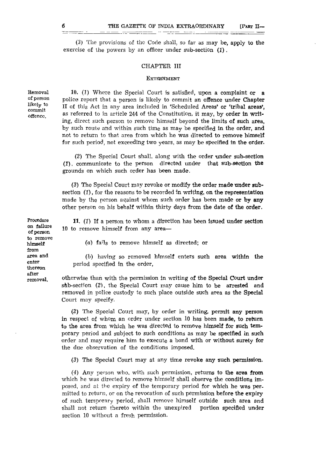(3) The provisions of the Code shall, so far as may be, apply to the exercise of the powers by an officer under sub-section (1) .

#### CHAPTER III

### ExTERNMENT

Removal of person likely to commit offence.

10. (1) Where the Special Court is satisfied, upon a complaint or  $a$ police report that a person is likely to commit an offence under Chapter II of this Act in any area included in 'Scheduled Areas' or 'tribal areas', as referred to in article 244 of the Constitution, it may, by order in writing, direct such person to remove himself beyond the limits of such area, by such route and within such time as may be specified in the order, and not to return to that area from which he was directed to remove himself for such period, not exceeding two years, as may be specified in the order.

(2) The Special Court shall, along with the order under sub-section (I), communicate to the person directed under that sub-section the grounds on which such order has been made.

(3) The Special Court may revoke or modify the order made under subsection *(1),* for the reasons to be recorded in writing, on the representation made by the person against whom such order has been made or by any other person on his behalf within thirty days from the date of the order.

11. *(1)* If a person to whom a direction has been issued under section 10 to remove himself from any area—

*(a)* fails to remove himself as directed; or

(b) having so removed himself enters such area within the period specified in the order,

otherwise than with the permission in writing of the Special Court under  $sub-section$  (2), the Special Court may cause him to be arrested and removed in police custody to such place outside such area as the Special Court may specify.

(2) The Special Court may, by order in writing, permit any person in respect of whom an order under section 10 has been made, to return to the area from which he was directed to remove himself for such temporary period and subject to such conditions as may be specified in such order and may require him to execute a bond with or without surety for the due observation of the conditions imposed.

(3) The Special Court may at any time revoke any such permission.

(4) Any person who, with such permission, returns to the area from which he was directed to remove himself shall observe the conditions imposed, and at the expiry of the temporary period for which he was permitted to return, or on the revocation of such permission before the expiry of such temporary period, shall remove himself outside such area and shall not return thereto within the unexpired portion specified under section 10 without a fresh permission.

Procedure on failure of person to remove himself from area and enter thereon after removal,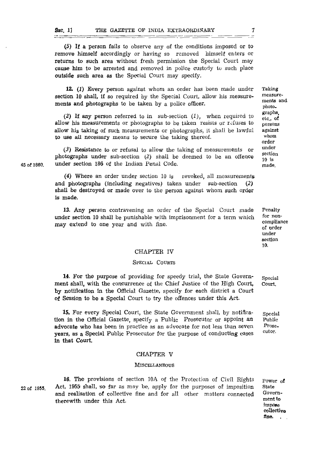\_\_\_\_\_\_\_

(5) If a person fails to observe any of the conditions imposed or to remove himself accordingly or having so removed himself enters or returns to such area without fresh permission the Special Court may cause him to be arrested and removed in police custody to such place outside such area as the Special Court may specify.

<u> Timber Time (1999-1991)</u>

12. *(1)* Every person against whom an order has been made under section 10 shall, if so required by the Special Court, allow his measurements and photographs to be taken by a police officer.

(2) If any person referred to in sub-section *(1),* when required to allow his measurements or photographs to be taken resists or refuses to allow his taking of such measurements or photographs, it shall be lawful to use all necessary means to secure the taking thereof.

 $(3)$  Resistance to or refusal to allow the taking of measurements or photographs under sub-section (2) shall be deemed to be an offence under section 186 of the Indian Penal Code.

(4) Where an order under section 10 is revoked, all measurements and photographs (including negatives) taken under sub-section (2) shall be destroyed or made over to the person against whom such order Is made.

13. Any person contravening an order of the Special Court made under section 10 shall be punishable with imprisonment for a term which may extend to one year and with fine.

for noncompliance of order under section 10.

Penalty

#### CHAPTER IV

# SPECIAL COURTS

14. For the purpose of providing for speedy trial, the Stale Government shall, with the concurrence of the Chief Justice of the High Court, by notification In the Official Gazette, specify for each district a Court of Session to be a Special Court to try the offences under this Act. Special Court.

15. For every Special Court, the State Government shall, by notification in the Official Gazette, specify a Public Prosecutor or appoint an advocate who hag been in practice as an advocate for not less than seven years, as a Special Public Prosecutor for the purpose of conducting cases In that Court. Special Public Prosecutor.

#### CHAPTER V

#### **MISCELLANEOUS**

22 **of 1955.**

16. The provisions of section 10A of the Protection of Civil Rights Act, 1959 shall, so far as may be, apply for the purposes of imposition and realisation of collective fine and for all other matters connected therewith under this Act.

Power of State Government to impiOse **coUectiva fine. ,**

Taking measurements and photographs, etc., of persons against whom order under section 10 is made.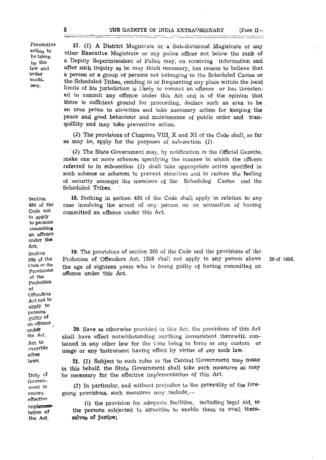<u> 11 mai - Jan Jan Jan Alban d</u>

Preventive action to be taken by the law and order machinery.

17. (1) A District Magistrate or a Sub-divisional Magistrate or any other Executive Magistrate or any police officer not below the rank of a Deputy Superintendent of Police may, on receiving information and after such inquiry as he may think necessary, has reason to believe that a person or & group of persons not belonging to the Scheduled Castes or the Scheduled Tribes, residing in or frequenting any place within the local limits of his jurisdiction is likely to commit an offence or has threatened to commit any offence under this Act and is of the opinion that there is sufficient ground for proceeding, declare such an area to be an area prone to atrocities and take necessary action for keeping the peace and good behaviour and maintenance of public order and tranquillity and may take preventive action.

(2) The provisions of Chapters VIII, X and XI of the Code shall, so far as may be, apply for the purposes of sub-section (1).

1  *(3)* The State Government may, by notification in the Official Gazette, make one or more schemes specifying the manner in which the officers referred to in sub-section (1) shall take appropriate action specified in such scheme or schemes to prevent atrocities and to restore the feeling of security amongst the members of the Scheduled Castes and the Scheduled Tribes.

18. Nothing in section 438 of the Code shall apply in relation to any case involving the arrest of any person on an accusation of having committed an offence under this Act.

19. The provisions of section 360 of the Code and the provisions of the Probation of Offenders Act, 1958 shall not apply to any person above the age of eighteen years who is found guilty of having committed an offence under this Act.

20 of 1958.

20- Save as otherwise provided in this Act, the provisions of this Act shall have effect notwithstanding anything inconsistent therewith contained in any other law for the time being in force or any custom or usage or any Instrument having effect by virtue of any such law.

21. *(1)* Subject to such rules as the Central Government may make in this behalf, the State Government shall take such measures as may be necessary for the effective implementation of this Act.

(2) In particular, and without prejudice to the generality of the foregoing provisions, such measures may include,—

(i) the provision for adequate facilities, including legal aid, to the persons subjected to atrocities to enable them to avail **themselves of justice;**

Section 438 of the Code not to apply to persons committing an offence under the Act. Section 360 of the Code or the Provisions ol the probation ol Offenders Act not to <sub>apply</sub> to persons guilty of an offence ^ unde\* the Act, Act to override other laws.

Duty of Government to ensure effective implementation of the Act.